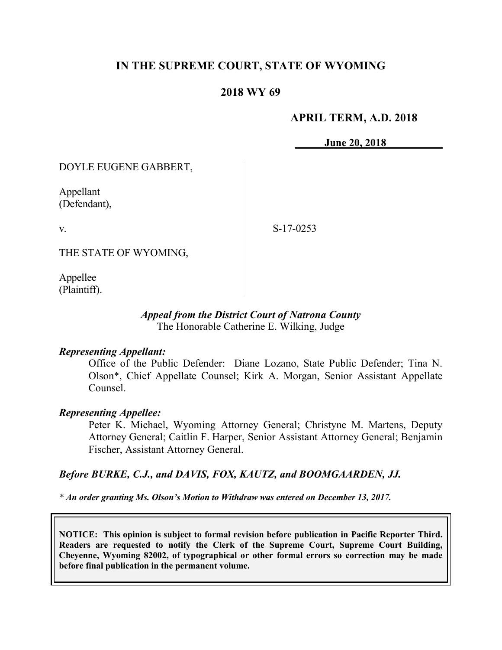# **IN THE SUPREME COURT, STATE OF WYOMING**

## **2018 WY 69**

#### **APRIL TERM, A.D. 2018**

**June 20, 2018**

DOYLE EUGENE GABBERT,

Appellant (Defendant),

v.

S-17-0253

THE STATE OF WYOMING,

Appellee (Plaintiff).

#### *Appeal from the District Court of Natrona County* The Honorable Catherine E. Wilking, Judge

#### *Representing Appellant:*

Office of the Public Defender: Diane Lozano, State Public Defender; Tina N. Olson\*, Chief Appellate Counsel; Kirk A. Morgan, Senior Assistant Appellate Counsel.

#### *Representing Appellee:*

Peter K. Michael, Wyoming Attorney General; Christyne M. Martens, Deputy Attorney General; Caitlin F. Harper, Senior Assistant Attorney General; Benjamin Fischer, Assistant Attorney General.

#### *Before BURKE, C.J., and DAVIS, FOX, KAUTZ, and BOOMGAARDEN, JJ.*

*\* An order granting Ms. Olson's Motion to Withdraw was entered on December 13, 2017.*

**NOTICE: This opinion is subject to formal revision before publication in Pacific Reporter Third. Readers are requested to notify the Clerk of the Supreme Court, Supreme Court Building, Cheyenne, Wyoming 82002, of typographical or other formal errors so correction may be made before final publication in the permanent volume.**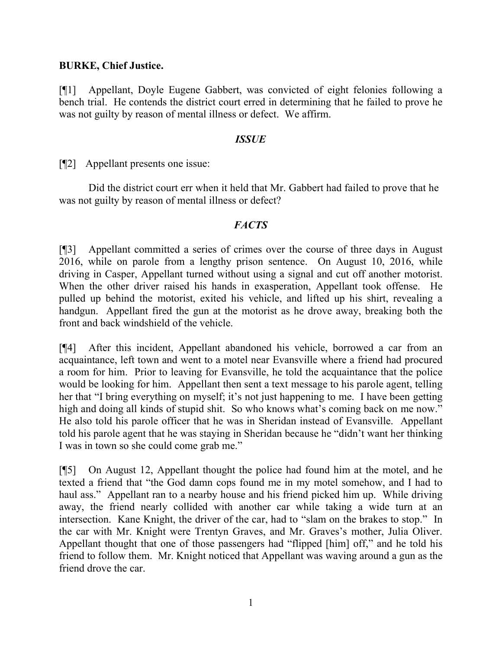### **BURKE, Chief Justice.**

[¶1] Appellant, Doyle Eugene Gabbert, was convicted of eight felonies following a bench trial. He contends the district court erred in determining that he failed to prove he was not guilty by reason of mental illness or defect. We affirm.

### *ISSUE*

[¶2] Appellant presents one issue:

Did the district court err when it held that Mr. Gabbert had failed to prove that he was not guilty by reason of mental illness or defect?

## *FACTS*

[¶3] Appellant committed a series of crimes over the course of three days in August 2016, while on parole from a lengthy prison sentence. On August 10, 2016, while driving in Casper, Appellant turned without using a signal and cut off another motorist. When the other driver raised his hands in exasperation, Appellant took offense. He pulled up behind the motorist, exited his vehicle, and lifted up his shirt, revealing a handgun. Appellant fired the gun at the motorist as he drove away, breaking both the front and back windshield of the vehicle.

[¶4] After this incident, Appellant abandoned his vehicle, borrowed a car from an acquaintance, left town and went to a motel near Evansville where a friend had procured a room for him. Prior to leaving for Evansville, he told the acquaintance that the police would be looking for him. Appellant then sent a text message to his parole agent, telling her that "I bring everything on myself; it's not just happening to me. I have been getting high and doing all kinds of stupid shit. So who knows what's coming back on me now." He also told his parole officer that he was in Sheridan instead of Evansville. Appellant told his parole agent that he was staying in Sheridan because he "didn't want her thinking I was in town so she could come grab me."

[¶5] On August 12, Appellant thought the police had found him at the motel, and he texted a friend that "the God damn cops found me in my motel somehow, and I had to haul ass." Appellant ran to a nearby house and his friend picked him up. While driving away, the friend nearly collided with another car while taking a wide turn at an intersection. Kane Knight, the driver of the car, had to "slam on the brakes to stop." In the car with Mr. Knight were Trentyn Graves, and Mr. Graves's mother, Julia Oliver. Appellant thought that one of those passengers had "flipped [him] off," and he told his friend to follow them. Mr. Knight noticed that Appellant was waving around a gun as the friend drove the car.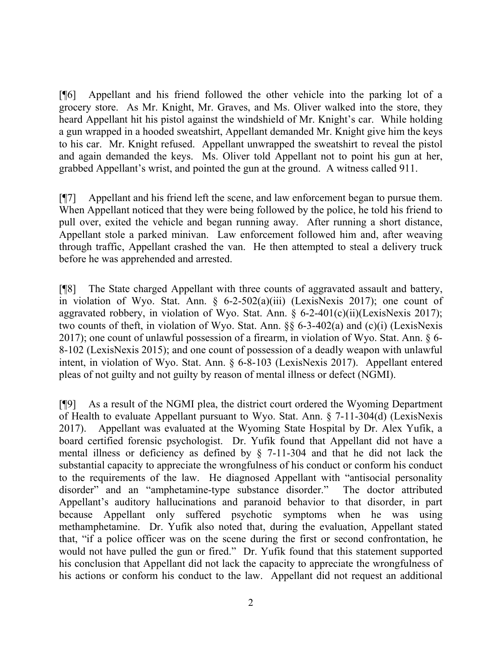[¶6] Appellant and his friend followed the other vehicle into the parking lot of a grocery store. As Mr. Knight, Mr. Graves, and Ms. Oliver walked into the store, they heard Appellant hit his pistol against the windshield of Mr. Knight's car. While holding a gun wrapped in a hooded sweatshirt, Appellant demanded Mr. Knight give him the keys to his car. Mr. Knight refused. Appellant unwrapped the sweatshirt to reveal the pistol and again demanded the keys. Ms. Oliver told Appellant not to point his gun at her, grabbed Appellant's wrist, and pointed the gun at the ground. A witness called 911.

[¶7] Appellant and his friend left the scene, and law enforcement began to pursue them. When Appellant noticed that they were being followed by the police, he told his friend to pull over, exited the vehicle and began running away. After running a short distance, Appellant stole a parked minivan. Law enforcement followed him and, after weaving through traffic, Appellant crashed the van. He then attempted to steal a delivery truck before he was apprehended and arrested.

[¶8] The State charged Appellant with three counts of aggravated assault and battery, in violation of Wyo. Stat. Ann. § 6-2-502(a)(iii) (LexisNexis 2017); one count of aggravated robbery, in violation of Wyo. Stat. Ann.  $\S$  6-2-401(c)(ii)(LexisNexis 2017); two counts of theft, in violation of Wyo. Stat. Ann. §§ 6-3-402(a) and (c)(i) (LexisNexis 2017); one count of unlawful possession of a firearm, in violation of Wyo. Stat. Ann. § 6- 8-102 (LexisNexis 2015); and one count of possession of a deadly weapon with unlawful intent, in violation of Wyo. Stat. Ann. § 6-8-103 (LexisNexis 2017). Appellant entered pleas of not guilty and not guilty by reason of mental illness or defect (NGMI).

[¶9] As a result of the NGMI plea, the district court ordered the Wyoming Department of Health to evaluate Appellant pursuant to Wyo. Stat. Ann. § 7-11-304(d) (LexisNexis 2017). Appellant was evaluated at the Wyoming State Hospital by Dr. Alex Yufik, a board certified forensic psychologist. Dr. Yufik found that Appellant did not have a mental illness or deficiency as defined by § 7-11-304 and that he did not lack the substantial capacity to appreciate the wrongfulness of his conduct or conform his conduct to the requirements of the law. He diagnosed Appellant with "antisocial personality disorder" and an "amphetamine-type substance disorder." The doctor attributed Appellant's auditory hallucinations and paranoid behavior to that disorder, in part because Appellant only suffered psychotic symptoms when he was using methamphetamine. Dr. Yufik also noted that, during the evaluation, Appellant stated that, "if a police officer was on the scene during the first or second confrontation, he would not have pulled the gun or fired." Dr. Yufik found that this statement supported his conclusion that Appellant did not lack the capacity to appreciate the wrongfulness of his actions or conform his conduct to the law. Appellant did not request an additional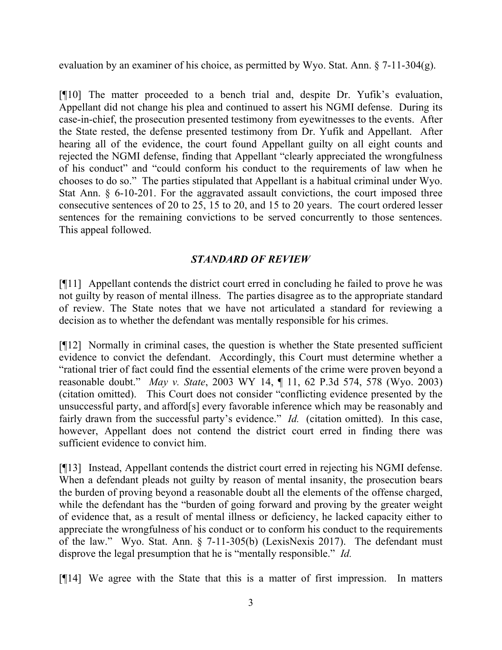evaluation by an examiner of his choice, as permitted by Wyo. Stat. Ann. § 7-11-304(g).

[¶10] The matter proceeded to a bench trial and, despite Dr. Yufik's evaluation, Appellant did not change his plea and continued to assert his NGMI defense. During its case-in-chief, the prosecution presented testimony from eyewitnesses to the events. After the State rested, the defense presented testimony from Dr. Yufik and Appellant. After hearing all of the evidence, the court found Appellant guilty on all eight counts and rejected the NGMI defense, finding that Appellant "clearly appreciated the wrongfulness of his conduct" and "could conform his conduct to the requirements of law when he chooses to do so." The parties stipulated that Appellant is a habitual criminal under Wyo. Stat Ann. § 6-10-201. For the aggravated assault convictions, the court imposed three consecutive sentences of 20 to 25, 15 to 20, and 15 to 20 years. The court ordered lesser sentences for the remaining convictions to be served concurrently to those sentences. This appeal followed.

# *STANDARD OF REVIEW*

[¶11] Appellant contends the district court erred in concluding he failed to prove he was not guilty by reason of mental illness. The parties disagree as to the appropriate standard of review. The State notes that we have not articulated a standard for reviewing a decision as to whether the defendant was mentally responsible for his crimes.

[¶12] Normally in criminal cases, the question is whether the State presented sufficient evidence to convict the defendant. Accordingly, this Court must determine whether a "rational trier of fact could find the essential elements of the crime were proven beyond a reasonable doubt." *May v. State*, 2003 WY 14, ¶ 11, 62 P.3d 574, 578 (Wyo. 2003) (citation omitted). This Court does not consider "conflicting evidence presented by the unsuccessful party, and afford[s] every favorable inference which may be reasonably and fairly drawn from the successful party's evidence." *Id.* (citation omitted). In this case, however, Appellant does not contend the district court erred in finding there was sufficient evidence to convict him.

[¶13] Instead, Appellant contends the district court erred in rejecting his NGMI defense. When a defendant pleads not guilty by reason of mental insanity, the prosecution bears the burden of proving beyond a reasonable doubt all the elements of the offense charged, while the defendant has the "burden of going forward and proving by the greater weight of evidence that, as a result of mental illness or deficiency, he lacked capacity either to appreciate the wrongfulness of his conduct or to conform his conduct to the requirements of the law." Wyo. Stat. Ann. § 7-11-305(b) (LexisNexis 2017). The defendant must disprove the legal presumption that he is "mentally responsible." *Id.*

[¶14] We agree with the State that this is a matter of first impression. In matters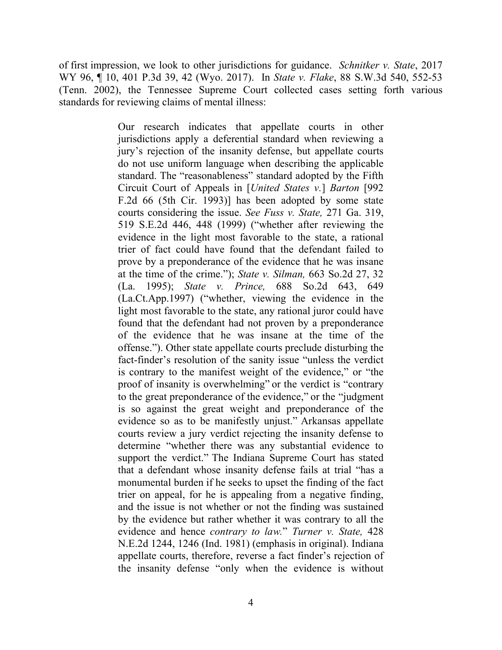of first impression, we look to other jurisdictions for guidance. *Schnitker v. State*, 2017 WY 96, ¶ 10, 401 P.3d 39, 42 (Wyo. 2017). In *State v. Flake*, 88 S.W.3d 540, 552-53 (Tenn. 2002), the Tennessee Supreme Court collected cases setting forth various standards for reviewing claims of mental illness:

> Our research indicates that appellate courts in other jurisdictions apply a deferential standard when reviewing a jury's rejection of the insanity defense, but appellate courts do not use uniform language when describing the applicable standard. The "reasonableness" standard adopted by the Fifth Circuit Court of Appeals in [*United States v.*] *Barton* [992 F.2d 66 (5th Cir. 1993)] has been adopted by some state courts considering the issue. *See Fuss v. State,* 271 Ga. 319, 519 S.E.2d 446, 448 (1999) ("whether after reviewing the evidence in the light most favorable to the state, a rational trier of fact could have found that the defendant failed to prove by a preponderance of the evidence that he was insane at the time of the crime."); *State v. Silman,* 663 So.2d 27, 32 (La. 1995); *State v. Prince,* 688 So.2d 643, 649 (La.Ct.App.1997) ("whether, viewing the evidence in the light most favorable to the state, any rational juror could have found that the defendant had not proven by a preponderance of the evidence that he was insane at the time of the offense."). Other state appellate courts preclude disturbing the fact-finder's resolution of the sanity issue "unless the verdict is contrary to the manifest weight of the evidence," or "the proof of insanity is overwhelming" or the verdict is "contrary to the great preponderance of the evidence," or the "judgment is so against the great weight and preponderance of the evidence so as to be manifestly unjust." Arkansas appellate courts review a jury verdict rejecting the insanity defense to determine "whether there was any substantial evidence to support the verdict." The Indiana Supreme Court has stated that a defendant whose insanity defense fails at trial "has a monumental burden if he seeks to upset the finding of the fact trier on appeal, for he is appealing from a negative finding, and the issue is not whether or not the finding was sustained by the evidence but rather whether it was contrary to all the evidence and hence *contrary to law.*" *Turner v. State,* 428 N.E.2d 1244, 1246 (Ind. 1981) (emphasis in original). Indiana appellate courts, therefore, reverse a fact finder's rejection of the insanity defense "only when the evidence is without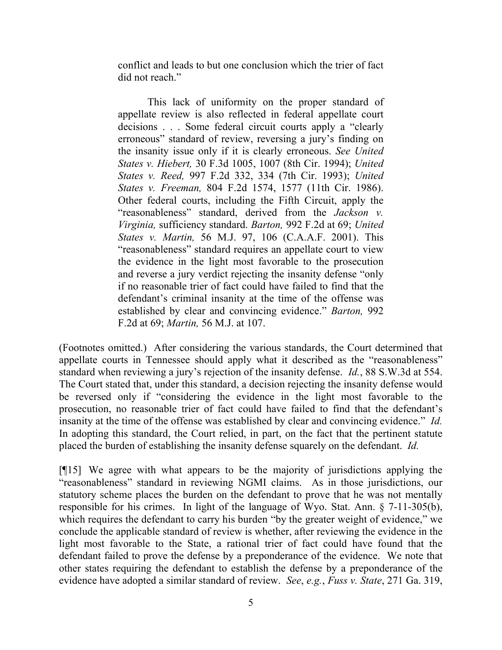conflict and leads to but one conclusion which the trier of fact did not reach."

This lack of uniformity on the proper standard of appellate review is also reflected in federal appellate court decisions . . . Some federal circuit courts apply a "clearly erroneous" standard of review, reversing a jury's finding on the insanity issue only if it is clearly erroneous. *See United States v. Hiebert,* 30 F.3d 1005, 1007 (8th Cir. 1994); *United States v. Reed,* 997 F.2d 332, 334 (7th Cir. 1993); *United States v. Freeman,* 804 F.2d 1574, 1577 (11th Cir. 1986). Other federal courts, including the Fifth Circuit, apply the "reasonableness" standard, derived from the *Jackson v. Virginia,* sufficiency standard. *Barton,* 992 F.2d at 69; *United States v. Martin,* 56 M.J. 97, 106 (C.A.A.F. 2001). This "reasonableness" standard requires an appellate court to view the evidence in the light most favorable to the prosecution and reverse a jury verdict rejecting the insanity defense "only if no reasonable trier of fact could have failed to find that the defendant's criminal insanity at the time of the offense was established by clear and convincing evidence." *Barton,* 992 F.2d at 69; *Martin,* 56 M.J. at 107.

(Footnotes omitted.) After considering the various standards, the Court determined that appellate courts in Tennessee should apply what it described as the "reasonableness" standard when reviewing a jury's rejection of the insanity defense. *Id.*, 88 S.W.3d at 554. The Court stated that, under this standard, a decision rejecting the insanity defense would be reversed only if "considering the evidence in the light most favorable to the prosecution, no reasonable trier of fact could have failed to find that the defendant's insanity at the time of the offense was established by clear and convincing evidence." *Id.* In adopting this standard, the Court relied, in part, on the fact that the pertinent statute placed the burden of establishing the insanity defense squarely on the defendant. *Id.*

[¶15] We agree with what appears to be the majority of jurisdictions applying the "reasonableness" standard in reviewing NGMI claims. As in those jurisdictions, our statutory scheme places the burden on the defendant to prove that he was not mentally responsible for his crimes. In light of the language of Wyo. Stat. Ann. § 7-11-305(b), which requires the defendant to carry his burden "by the greater weight of evidence," we conclude the applicable standard of review is whether, after reviewing the evidence in the light most favorable to the State, a rational trier of fact could have found that the defendant failed to prove the defense by a preponderance of the evidence. We note that other states requiring the defendant to establish the defense by a preponderance of the evidence have adopted a similar standard of review. *See*, *e.g.*, *Fuss v. State*, 271 Ga. 319,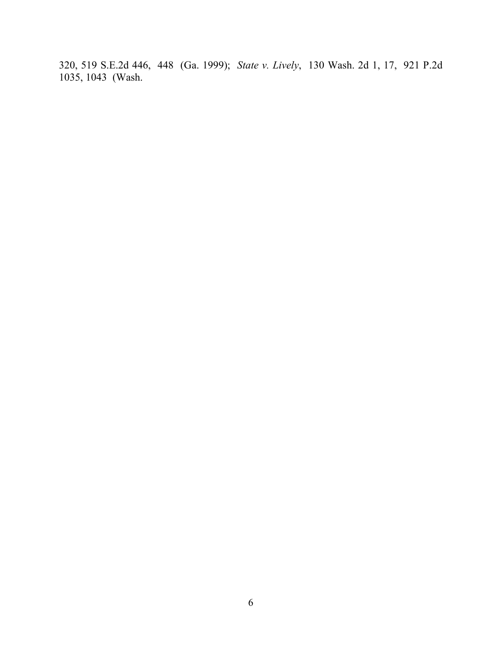320, 519 S.E.2d 446, 448 (Ga. 1999); *State v. Lively*, 130 Wash. 2d 1, 17, 921 P.2d 1035, 1043 (Wash.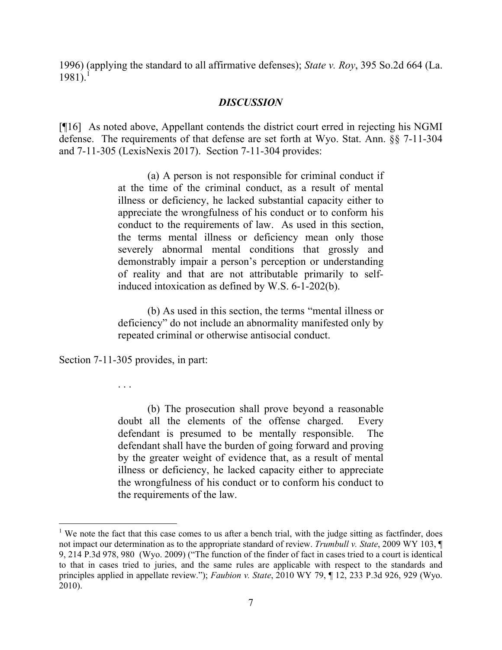1996) (applying the standard to all affirmative defenses); *State v. Roy*, 395 So.2d 664 (La.  $1981$ ).<sup>1</sup>

## *DISCUSSION*

[¶16] As noted above, Appellant contends the district court erred in rejecting his NGMI defense. The requirements of that defense are set forth at Wyo. Stat. Ann. §§ 7-11-304 and 7-11-305 (LexisNexis 2017). Section 7-11-304 provides:

> (a) A person is not responsible for criminal conduct if at the time of the criminal conduct, as a result of mental illness or deficiency, he lacked substantial capacity either to appreciate the wrongfulness of his conduct or to conform his conduct to the requirements of law. As used in this section, the terms mental illness or deficiency mean only those severely abnormal mental conditions that grossly and demonstrably impair a person's perception or understanding of reality and that are not attributable primarily to selfinduced intoxication as defined by W.S. 6-1-202(b).

> (b) As used in this section, the terms "mental illness or deficiency" do not include an abnormality manifested only by repeated criminal or otherwise antisocial conduct.

Section 7-11-305 provides, in part:

. . .

(b) The prosecution shall prove beyond a reasonable doubt all the elements of the offense charged. Every defendant is presumed to be mentally responsible. The defendant shall have the burden of going forward and proving by the greater weight of evidence that, as a result of mental illness or deficiency, he lacked capacity either to appreciate the wrongfulness of his conduct or to conform his conduct to the requirements of the law.

<sup>&</sup>lt;sup>1</sup> We note the fact that this case comes to us after a bench trial, with the judge sitting as factfinder, does not impact our determination as to the appropriate standard of review. *Trumbull v. State*, 2009 WY 103, ¶ 9, 214 P.3d 978, 980 (Wyo. 2009) ("The function of the finder of fact in cases tried to a court is identical to that in cases tried to juries, and the same rules are applicable with respect to the standards and principles applied in appellate review."); *Faubion v. State*, 2010 WY 79, ¶ 12, 233 P.3d 926, 929 (Wyo. 2010).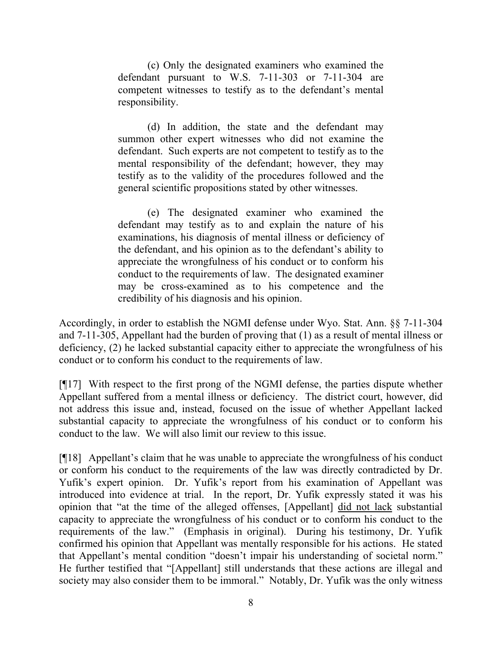(c) Only the designated examiners who examined the defendant pursuant to W.S. 7-11-303 or 7-11-304 are competent witnesses to testify as to the defendant's mental responsibility.

(d) In addition, the state and the defendant may summon other expert witnesses who did not examine the defendant. Such experts are not competent to testify as to the mental responsibility of the defendant; however, they may testify as to the validity of the procedures followed and the general scientific propositions stated by other witnesses.

(e) The designated examiner who examined the defendant may testify as to and explain the nature of his examinations, his diagnosis of mental illness or deficiency of the defendant, and his opinion as to the defendant's ability to appreciate the wrongfulness of his conduct or to conform his conduct to the requirements of law. The designated examiner may be cross-examined as to his competence and the credibility of his diagnosis and his opinion.

Accordingly, in order to establish the NGMI defense under Wyo. Stat. Ann. §§ 7-11-304 and 7-11-305, Appellant had the burden of proving that (1) as a result of mental illness or deficiency, (2) he lacked substantial capacity either to appreciate the wrongfulness of his conduct or to conform his conduct to the requirements of law.

[¶17] With respect to the first prong of the NGMI defense, the parties dispute whether Appellant suffered from a mental illness or deficiency. The district court, however, did not address this issue and, instead, focused on the issue of whether Appellant lacked substantial capacity to appreciate the wrongfulness of his conduct or to conform his conduct to the law. We will also limit our review to this issue.

[¶18] Appellant's claim that he was unable to appreciate the wrongfulness of his conduct or conform his conduct to the requirements of the law was directly contradicted by Dr. Yufik's expert opinion. Dr. Yufik's report from his examination of Appellant was introduced into evidence at trial. In the report, Dr. Yufik expressly stated it was his opinion that "at the time of the alleged offenses, [Appellant] did not lack substantial capacity to appreciate the wrongfulness of his conduct or to conform his conduct to the requirements of the law." (Emphasis in original). During his testimony, Dr. Yufik confirmed his opinion that Appellant was mentally responsible for his actions. He stated that Appellant's mental condition "doesn't impair his understanding of societal norm." He further testified that "[Appellant] still understands that these actions are illegal and society may also consider them to be immoral." Notably, Dr. Yufik was the only witness